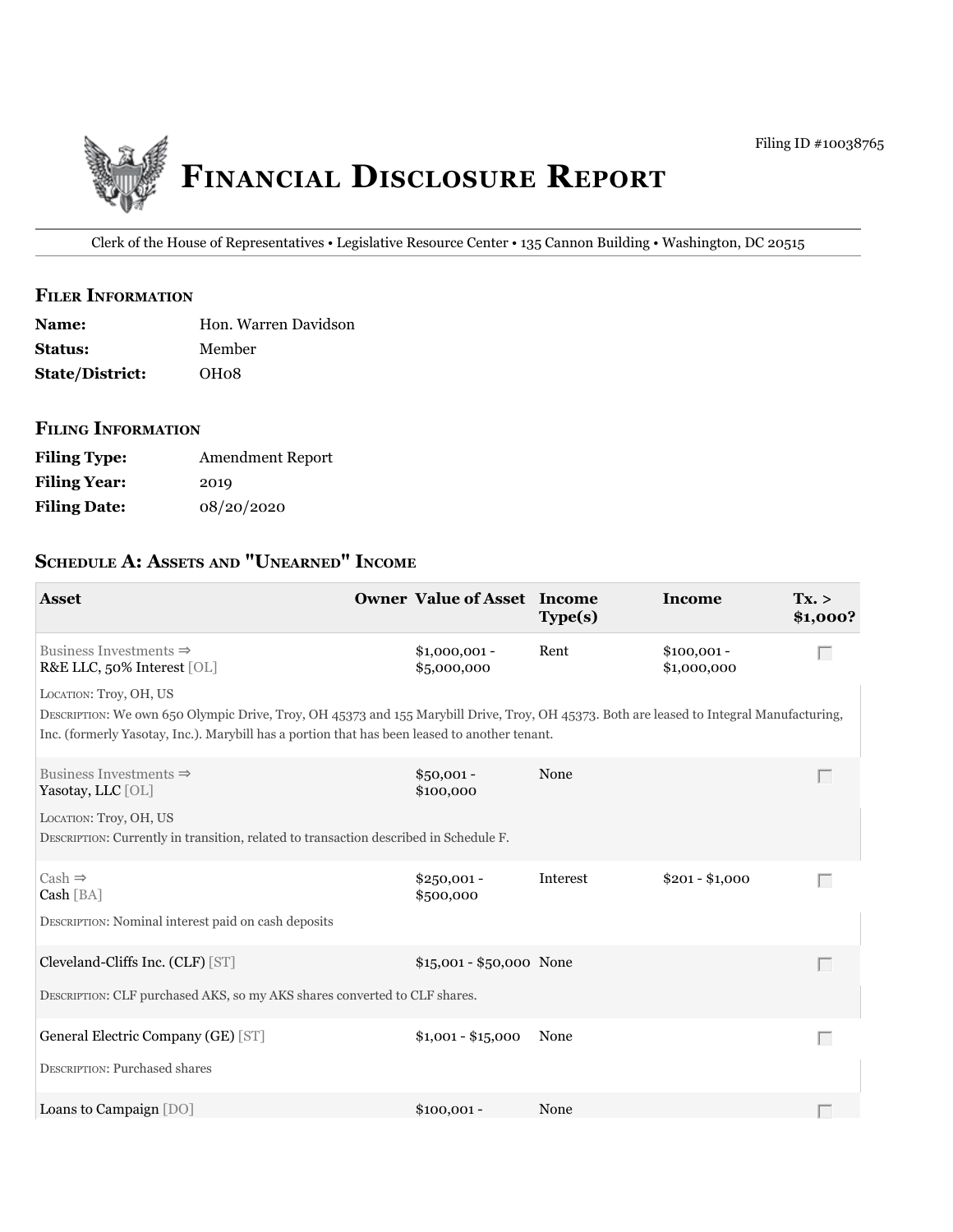

Clerk of the House of Representatives • Legislative Resource Center • 135 Cannon Building • Washington, DC 20515

#### **filer information**

| <b>Name:</b>           | Hon. Warren Davidson |
|------------------------|----------------------|
| <b>Status:</b>         | Member               |
| <b>State/District:</b> | OH08                 |

### **filing information**

| <b>Filing Type:</b> | <b>Amendment Report</b> |
|---------------------|-------------------------|
| <b>Filing Year:</b> | 2019                    |
| <b>Filing Date:</b> | 08/20/2020              |

# **ScheDule a: aSSetS anD "unearneD" income**

| <b>Asset</b>                                                                                                                                                                                                                                                        | <b>Owner Value of Asset Income</b> | Type(s)  | Income                      | Tx. ><br>\$1,000? |
|---------------------------------------------------------------------------------------------------------------------------------------------------------------------------------------------------------------------------------------------------------------------|------------------------------------|----------|-----------------------------|-------------------|
| Business Investments $\Rightarrow$<br>R&E LLC, 50% Interest [OL]                                                                                                                                                                                                    | $$1,000,001 -$<br>\$5,000,000      | Rent     | $$100,001 -$<br>\$1,000,000 | Г                 |
| LOCATION: Troy, OH, US<br>DESCRIPTION: We own 650 Olympic Drive, Troy, OH 45373 and 155 Marybill Drive, Troy, OH 45373. Both are leased to Integral Manufacturing,<br>Inc. (formerly Yasotay, Inc.). Marybill has a portion that has been leased to another tenant. |                                    |          |                             |                   |
| Business Investments $\Rightarrow$<br>Yasotay, LLC [OL]                                                                                                                                                                                                             | $$50,001 -$<br>\$100,000           | None     |                             | $\mathbb{R}^n$    |
| LOCATION: Troy, OH, US<br>DESCRIPTION: Currently in transition, related to transaction described in Schedule F.                                                                                                                                                     |                                    |          |                             |                   |
| $Cash \Rightarrow$<br>Cash [BA]                                                                                                                                                                                                                                     | $$250,001 -$<br>\$500,000          | Interest | $$201 - $1,000$             | Г                 |
| DESCRIPTION: Nominal interest paid on cash deposits                                                                                                                                                                                                                 |                                    |          |                             |                   |
| Cleveland-Cliffs Inc. (CLF) [ST]                                                                                                                                                                                                                                    | \$15,001 - \$50,000 None           |          |                             | Г                 |
| DESCRIPTION: CLF purchased AKS, so my AKS shares converted to CLF shares.                                                                                                                                                                                           |                                    |          |                             |                   |
| General Electric Company (GE) [ST]                                                                                                                                                                                                                                  | $$1,001 - $15,000$                 | None     |                             | Г                 |
| <b>DESCRIPTION: Purchased shares</b>                                                                                                                                                                                                                                |                                    |          |                             |                   |
| Loans to Campaign [DO]                                                                                                                                                                                                                                              | $$100,001 -$                       | None     |                             |                   |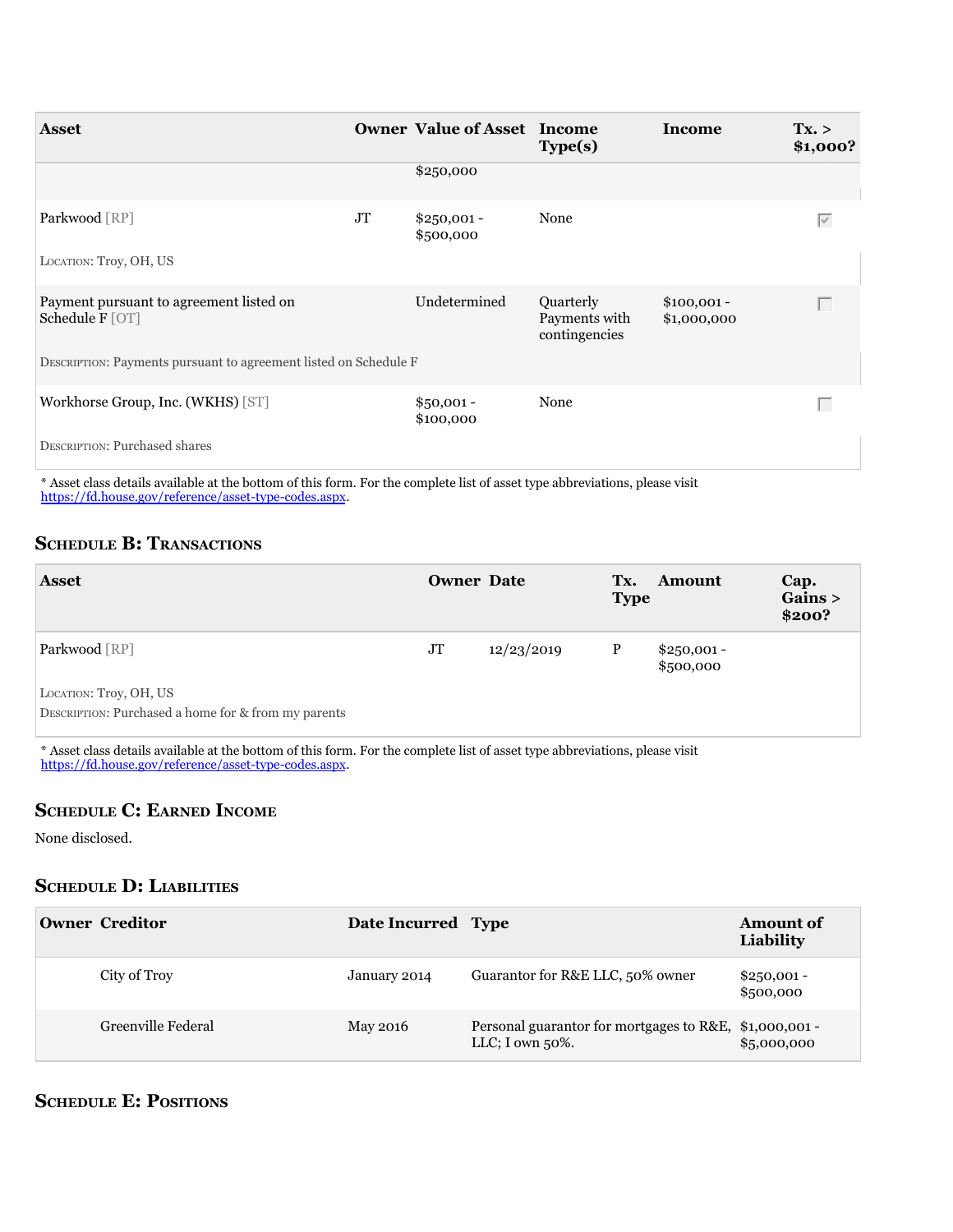| <b>Asset</b>                                                     |    | <b>Owner Value of Asset Income</b> | Type(s)                                     | Income                      | Tx. ><br>\$1,000? |
|------------------------------------------------------------------|----|------------------------------------|---------------------------------------------|-----------------------------|-------------------|
|                                                                  |    | \$250,000                          |                                             |                             |                   |
| Parkwood [RP]                                                    | JT | $$250,001 -$<br>\$500,000          | None                                        |                             | $\overline{\vee}$ |
| LOCATION: Troy, OH, US                                           |    |                                    |                                             |                             |                   |
| Payment pursuant to agreement listed on<br>Schedule F [OT]       |    | Undetermined                       | Quarterly<br>Payments with<br>contingencies | $$100,001 -$<br>\$1,000,000 |                   |
| DESCRIPTION: Payments pursuant to agreement listed on Schedule F |    |                                    |                                             |                             |                   |
| Workhorse Group, Inc. (WKHS) [ST]                                |    | $$50,001 -$<br>\$100,000           | None                                        |                             | П                 |
| DESCRIPTION: Purchased shares                                    |    |                                    |                                             |                             |                   |

\* asset class details available at the bottom of this form. For the complete list of asset type abbreviations, please visit [https://fd.house.gov/reference/asset-type-codes.aspx.](https://fd.house.gov/reference/asset-type-codes.aspx)

# **SCHEDULE B: TRANSACTIONS**

| <b>Asset</b>                                        |    | <b>Owner Date</b> | Tx.<br><b>Type</b> | <b>Amount</b>             | Cap.<br>Gains ><br>\$200? |
|-----------------------------------------------------|----|-------------------|--------------------|---------------------------|---------------------------|
| Parkwood [RP]                                       | JT | 12/23/2019        | $\mathbf{P}$       | $$250,001 -$<br>\$500,000 |                           |
| LOCATION: Troy, OH, US                              |    |                   |                    |                           |                           |
| DESCRIPTION: Purchased a home for & from my parents |    |                   |                    |                           |                           |

\* asset class details available at the bottom of this form. For the complete list of asset type abbreviations, please visit [https://fd.house.gov/reference/asset-type-codes.aspx.](https://fd.house.gov/reference/asset-type-codes.aspx)

# **ScheDule c: earneD income**

None disclosed.

# **ScheDule D: liaBilitieS**

| Owner Creditor     | Date Incurred Type |                                                                               | <b>Amount of</b><br>Liability |
|--------------------|--------------------|-------------------------------------------------------------------------------|-------------------------------|
| City of Troy       | January 2014       | Guarantor for R&E LLC, 50% owner                                              | $$250,001 -$<br>\$500,000     |
| Greenville Federal | May 2016           | Personal guarantor for mortgages to R&E, \$1,000,001 -<br>LLC; I own $50\%$ . | \$5,000,000                   |

# **ScheDule e: PoSitionS**